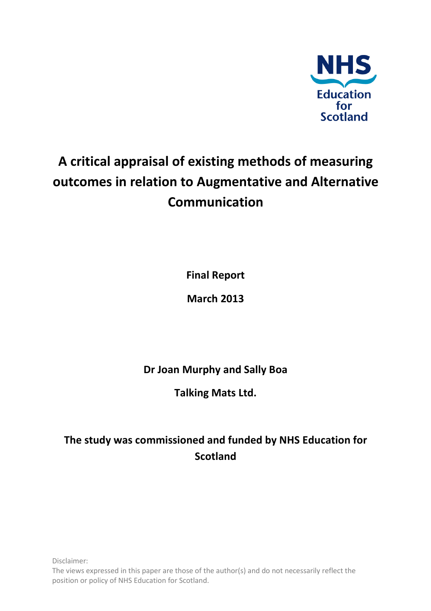

# **A critical appraisal of existing methods of measuring outcomes in relation to Augmentative and Alternative Communication**

**Final Report** 

**March 2013** 

**Dr Joan Murphy and Sally Boa** 

**Talking Mats Ltd.** 

# **The study was commissioned and funded by NHS Education for Scotland**

Disclaimer: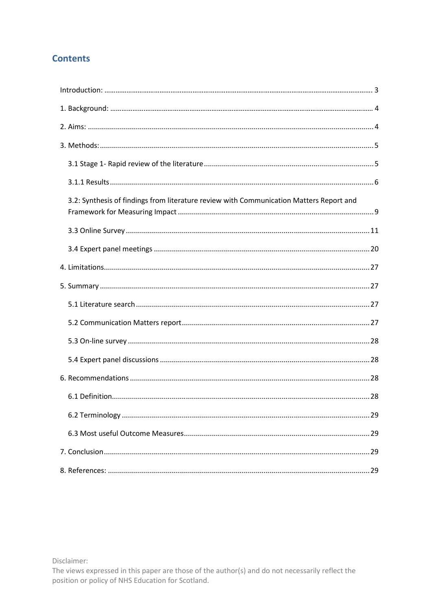# **Contents**

| 3.2: Synthesis of findings from literature review with Communication Matters Report and |  |
|-----------------------------------------------------------------------------------------|--|
|                                                                                         |  |
|                                                                                         |  |
|                                                                                         |  |
|                                                                                         |  |
|                                                                                         |  |
|                                                                                         |  |
|                                                                                         |  |
|                                                                                         |  |
|                                                                                         |  |
|                                                                                         |  |
|                                                                                         |  |
|                                                                                         |  |
|                                                                                         |  |
|                                                                                         |  |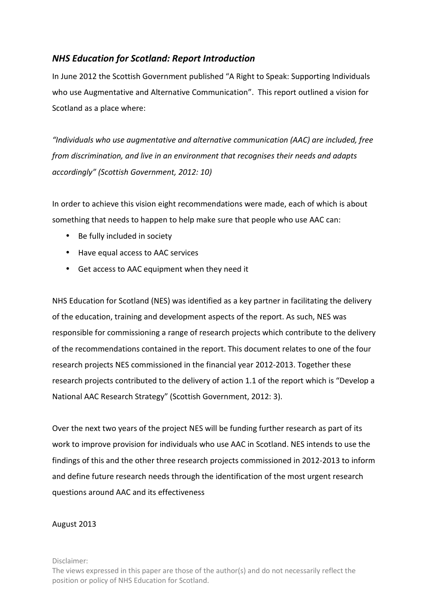# *NHS Education for Scotland: Report Introduction*

In June 2012 the Scottish Government published "A Right to Speak: Supporting Individuals who use Augmentative and Alternative Communication". This report outlined a vision for Scotland as a place where:

*"Individuals who use augmentative and alternative communication (AAC) are included, free from discrimination, and live in an environment that recognises their needs and adapts accordingly" (Scottish Government, 2012: 10)* 

In order to achieve this vision eight recommendations were made, each of which is about something that needs to happen to help make sure that people who use AAC can:

- Be fully included in society
- Have equal access to AAC services
- Get access to AAC equipment when they need it

NHS Education for Scotland (NES) was identified as a key partner in facilitating the delivery of the education, training and development aspects of the report. As such, NES was responsible for commissioning a range of research projects which contribute to the delivery of the recommendations contained in the report. This document relates to one of the four research projects NES commissioned in the financial year 2012-2013. Together these research projects contributed to the delivery of action 1.1 of the report which is "Develop a National AAC Research Strategy" (Scottish Government, 2012: 3).

Over the next two years of the project NES will be funding further research as part of its work to improve provision for individuals who use AAC in Scotland. NES intends to use the findings of this and the other three research projects commissioned in 2012-2013 to inform and define future research needs through the identification of the most urgent research questions around AAC and its effectiveness

### August 2013

Disclaimer: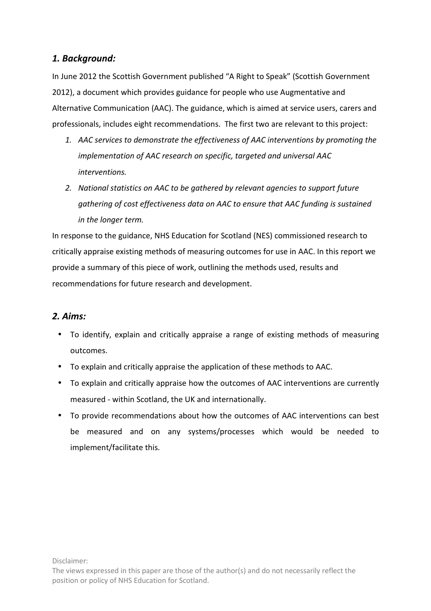# *1. Background:*

In June 2012 the Scottish Government published "A Right to Speak" (Scottish Government 2012), a document which provides guidance for people who use Augmentative and Alternative Communication (AAC). The guidance, which is aimed at service users, carers and professionals, includes eight recommendations. The first two are relevant to this project:

- *1. AAC services to demonstrate the effectiveness of AAC interventions by promoting the implementation of AAC research on specific, targeted and universal AAC interventions.*
- *2. National statistics on AAC to be gathered by relevant agencies to support future gathering of cost effectiveness data on AAC to ensure that AAC funding is sustained in the longer term.*

In response to the guidance, NHS Education for Scotland (NES) commissioned research to critically appraise existing methods of measuring outcomes for use in AAC. In this report we provide a summary of this piece of work, outlining the methods used, results and recommendations for future research and development.

# *2. Aims:*

- To identify, explain and critically appraise a range of existing methods of measuring outcomes.
- To explain and critically appraise the application of these methods to AAC.
- To explain and critically appraise how the outcomes of AAC interventions are currently measured - within Scotland, the UK and internationally.
- To provide recommendations about how the outcomes of AAC interventions can best be measured and on any systems/processes which would be needed to implement/facilitate this.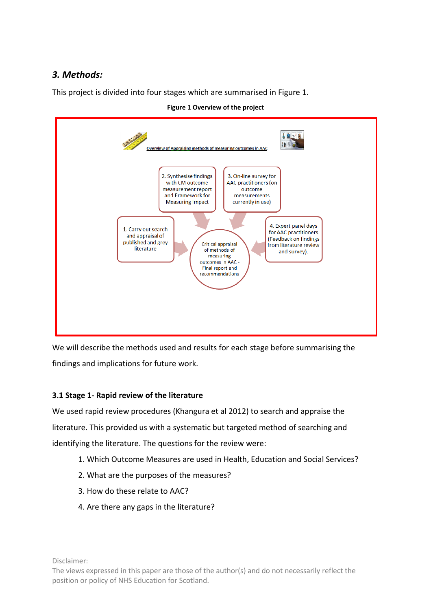# *3. Methods:*

This project is divided into four stages which are summarised in Figure 1.



**Figure 1 Overview of the project**

We will describe the methods used and results for each stage before summarising the findings and implications for future work.

# **3.1 Stage 1- Rapid review of the literature**

We used rapid review procedures (Khangura et al 2012) to search and appraise the literature. This provided us with a systematic but targeted method of searching and identifying the literature. The questions for the review were:

- 1. Which Outcome Measures are used in Health, Education and Social Services?
- 2. What are the purposes of the measures?
- 3. How do these relate to AAC?
- 4. Are there any gaps in the literature?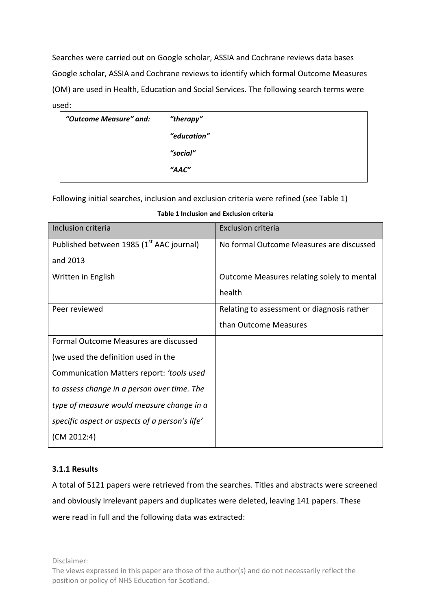Searches were carried out on Google scholar, ASSIA and Cochrane reviews data bases Google scholar, ASSIA and Cochrane reviews to identify which formal Outcome Measures (OM) are used in Health, Education and Social Services. The following search terms were used:

| "Outcome Measure" and: | "therapy"   |
|------------------------|-------------|
|                        | "education" |
|                        | "social"    |
|                        | "AAC"       |
|                        |             |

Following initial searches, inclusion and exclusion criteria were refined (see Table 1)

| Inclusion criteria                                   | Exclusion criteria                         |
|------------------------------------------------------|--------------------------------------------|
| Published between 1985 (1 <sup>st</sup> AAC journal) | No formal Outcome Measures are discussed   |
| and 2013                                             |                                            |
| Written in English                                   | Outcome Measures relating solely to mental |
|                                                      | health                                     |
| Peer reviewed                                        | Relating to assessment or diagnosis rather |
|                                                      | than Outcome Measures                      |
| Formal Outcome Measures are discussed                |                                            |
| (we used the definition used in the                  |                                            |
| Communication Matters report: 'tools used            |                                            |
| to assess change in a person over time. The          |                                            |
| type of measure would measure change in a            |                                            |
| specific aspect or aspects of a person's life'       |                                            |
| (CM 2012:4)                                          |                                            |

|  |  |  |  | Table 1 Inclusion and Exclusion criteria |  |
|--|--|--|--|------------------------------------------|--|
|--|--|--|--|------------------------------------------|--|

### **3.1.1 Results**

A total of 5121 papers were retrieved from the searches. Titles and abstracts were screened and obviously irrelevant papers and duplicates were deleted, leaving 141 papers. These were read in full and the following data was extracted: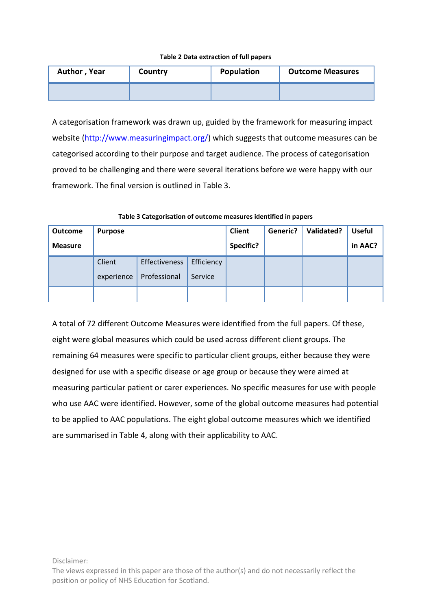#### **Table 2 Data extraction of full papers**

| Author, Year | Country | Population | <b>Outcome Measures</b> |
|--------------|---------|------------|-------------------------|
|              |         |            |                         |

A categorisation framework was drawn up, guided by the framework for measuring impact website (http://www.measuringimpact.org/) which suggests that outcome measures can be categorised according to their purpose and target audience. The process of categorisation proved to be challenging and there were several iterations before we were happy with our framework. The final version is outlined in Table 3.

| Outcome        | <b>Purpose</b>       |                               |                       | Client    | Generic? | Validated? | <b>Useful</b> |
|----------------|----------------------|-------------------------------|-----------------------|-----------|----------|------------|---------------|
| <b>Measure</b> |                      |                               |                       | Specific? |          |            | in AAC?       |
|                | Client<br>experience | Effectiveness<br>Professional | Efficiency<br>Service |           |          |            |               |
|                |                      |                               |                       |           |          |            |               |

#### **Table 3 Categorisation of outcome measures identified in papers**

A total of 72 different Outcome Measures were identified from the full papers. Of these, eight were global measures which could be used across different client groups. The remaining 64 measures were specific to particular client groups, either because they were designed for use with a specific disease or age group or because they were aimed at measuring particular patient or carer experiences. No specific measures for use with people who use AAC were identified. However, some of the global outcome measures had potential to be applied to AAC populations. The eight global outcome measures which we identified are summarised in Table 4, along with their applicability to AAC.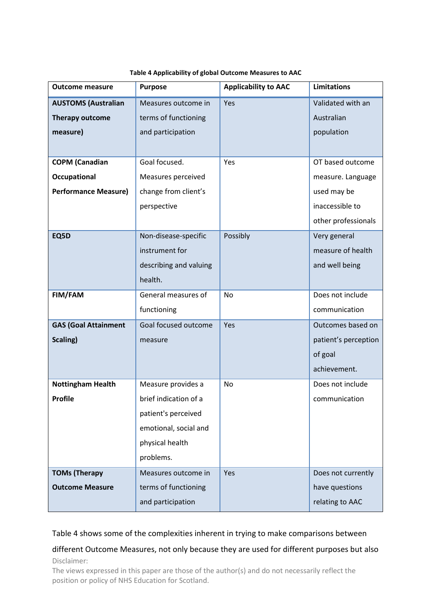| <b>Outcome measure</b>      | <b>Purpose</b>         | <b>Applicability to AAC</b> | <b>Limitations</b>   |
|-----------------------------|------------------------|-----------------------------|----------------------|
| <b>AUSTOMS (Australian</b>  | Measures outcome in    | Yes                         | Validated with an    |
| Therapy outcome             | terms of functioning   |                             | Australian           |
| measure)                    | and participation      |                             | population           |
|                             |                        |                             |                      |
| <b>COPM</b> (Canadian       | Goal focused.          | Yes                         | OT based outcome     |
| Occupational                | Measures perceived     |                             | measure. Language    |
| <b>Performance Measure)</b> | change from client's   |                             | used may be          |
|                             | perspective            |                             | inaccessible to      |
|                             |                        |                             | other professionals  |
| EQ5D                        | Non-disease-specific   | Possibly                    | Very general         |
|                             | instrument for         |                             | measure of health    |
|                             | describing and valuing |                             | and well being       |
|                             | health.                |                             |                      |
| FIM/FAM                     | General measures of    | No                          | Does not include     |
|                             | functioning            |                             | communication        |
| <b>GAS (Goal Attainment</b> | Goal focused outcome   | Yes                         | Outcomes based on    |
| Scaling)                    | measure                |                             | patient's perception |
|                             |                        |                             | of goal              |
|                             |                        |                             | achievement.         |
| <b>Nottingham Health</b>    | Measure provides a     | No                          | Does not include     |
| <b>Profile</b>              | brief indication of a  |                             | communication        |
|                             | patient's perceived    |                             |                      |
|                             | emotional, social and  |                             |                      |
|                             | physical health        |                             |                      |
|                             | problems.              |                             |                      |
| <b>TOMs (Therapy</b>        | Measures outcome in    | Yes                         | Does not currently   |
| <b>Outcome Measure</b>      | terms of functioning   |                             | have questions       |
|                             | and participation      |                             | relating to AAC      |

#### **Table 4 Applicability of global Outcome Measures to AAC**

### Table 4 shows some of the complexities inherent in trying to make comparisons between

### Disclaimer: different Outcome Measures, not only because they are used for different purposes but also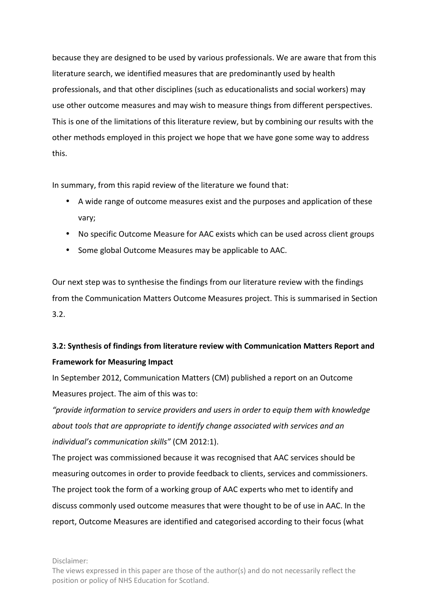because they are designed to be used by various professionals. We are aware that from this literature search, we identified measures that are predominantly used by health professionals, and that other disciplines (such as educationalists and social workers) may use other outcome measures and may wish to measure things from different perspectives. This is one of the limitations of this literature review, but by combining our results with the other methods employed in this project we hope that we have gone some way to address this.

In summary, from this rapid review of the literature we found that:

- A wide range of outcome measures exist and the purposes and application of these vary;
- No specific Outcome Measure for AAC exists which can be used across client groups
- Some global Outcome Measures may be applicable to AAC.

Our next step was to synthesise the findings from our literature review with the findings from the Communication Matters Outcome Measures project. This is summarised in Section 3.2.

# **3.2: Synthesis of findings from literature review with Communication Matters Report and Framework for Measuring Impact**

In September 2012, Communication Matters (CM) published a report on an Outcome Measures project. The aim of this was to:

*"provide information to service providers and users in order to equip them with knowledge about tools that are appropriate to identify change associated with services and an individual's communication skills"* (CM 2012:1).

The project was commissioned because it was recognised that AAC services should be measuring outcomes in order to provide feedback to clients, services and commissioners. The project took the form of a working group of AAC experts who met to identify and discuss commonly used outcome measures that were thought to be of use in AAC. In the report, Outcome Measures are identified and categorised according to their focus (what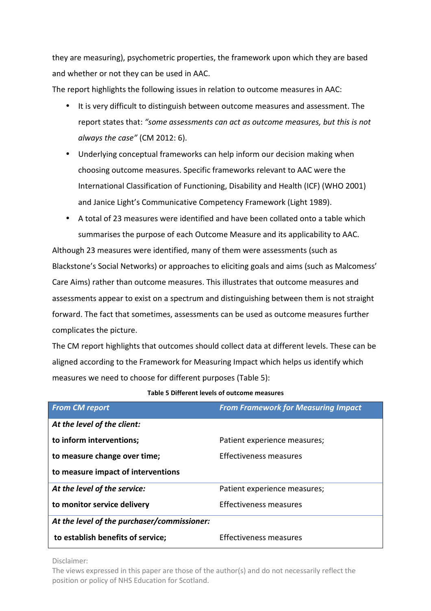they are measuring), psychometric properties, the framework upon which they are based and whether or not they can be used in AAC.

The report highlights the following issues in relation to outcome measures in AAC:

- It is very difficult to distinguish between outcome measures and assessment. The report states that: *"some assessments can act as outcome measures, but this is not always the case"* (CM 2012: 6).
- Underlying conceptual frameworks can help inform our decision making when choosing outcome measures. Specific frameworks relevant to AAC were the International Classification of Functioning, Disability and Health (ICF) (WHO 2001) and Janice Light's Communicative Competency Framework (Light 1989).
- A total of 23 measures were identified and have been collated onto a table which summarises the purpose of each Outcome Measure and its applicability to AAC.

Although 23 measures were identified, many of them were assessments (such as Blackstone's Social Networks) or approaches to eliciting goals and aims (such as Malcomess' Care Aims) rather than outcome measures. This illustrates that outcome measures and assessments appear to exist on a spectrum and distinguishing between them is not straight forward. The fact that sometimes, assessments can be used as outcome measures further complicates the picture.

The CM report highlights that outcomes should collect data at different levels. These can be aligned according to the Framework for Measuring Impact which helps us identify which measures we need to choose for different purposes (Table 5):

| <b>From CM report</b>                       | <b>From Framework for Measuring Impact</b> |
|---------------------------------------------|--------------------------------------------|
| At the level of the client:                 |                                            |
| to inform interventions;                    | Patient experience measures;               |
| to measure change over time;                | Effectiveness measures                     |
| to measure impact of interventions          |                                            |
| At the level of the service:                | Patient experience measures;               |
| to monitor service delivery                 | Effectiveness measures                     |
| At the level of the purchaser/commissioner: |                                            |
| to establish benefits of service;           | Effectiveness measures                     |

**Table 5 Different levels of outcome measures** 

Disclaimer: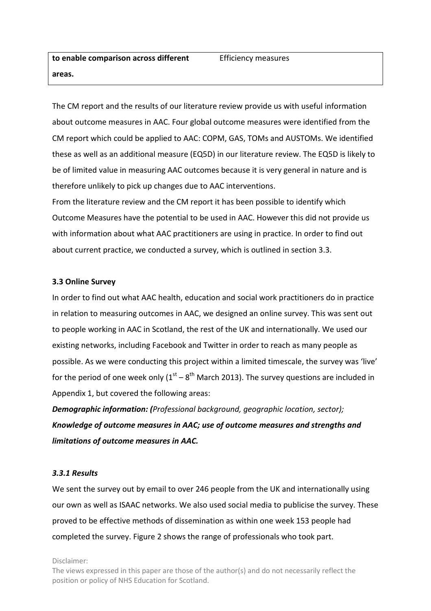The CM report and the results of our literature review provide us with useful information about outcome measures in AAC. Four global outcome measures were identified from the CM report which could be applied to AAC: COPM, GAS, TOMs and AUSTOMs. We identified these as well as an additional measure (EQ5D) in our literature review. The EQ5D is likely to be of limited value in measuring AAC outcomes because it is very general in nature and is therefore unlikely to pick up changes due to AAC interventions.

From the literature review and the CM report it has been possible to identify which Outcome Measures have the potential to be used in AAC. However this did not provide us with information about what AAC practitioners are using in practice. In order to find out about current practice, we conducted a survey, which is outlined in section 3.3.

#### **3.3 Online Survey**

In order to find out what AAC health, education and social work practitioners do in practice in relation to measuring outcomes in AAC, we designed an online survey. This was sent out to people working in AAC in Scotland, the rest of the UK and internationally. We used our existing networks, including Facebook and Twitter in order to reach as many people as possible. As we were conducting this project within a limited timescale, the survey was 'live' for the period of one week only  $(1<sup>st</sup> - 8<sup>th</sup>$  March 2013). The survey questions are included in Appendix 1, but covered the following areas:

*Demographic information: (Professional background, geographic location, sector); Knowledge of outcome measures in AAC; use of outcome measures and strengths and limitations of outcome measures in AAC.* 

#### *3.3.1 Results*

We sent the survey out by email to over 246 people from the UK and internationally using our own as well as ISAAC networks. We also used social media to publicise the survey. These proved to be effective methods of dissemination as within one week 153 people had completed the survey. Figure 2 shows the range of professionals who took part.

Disclaimer: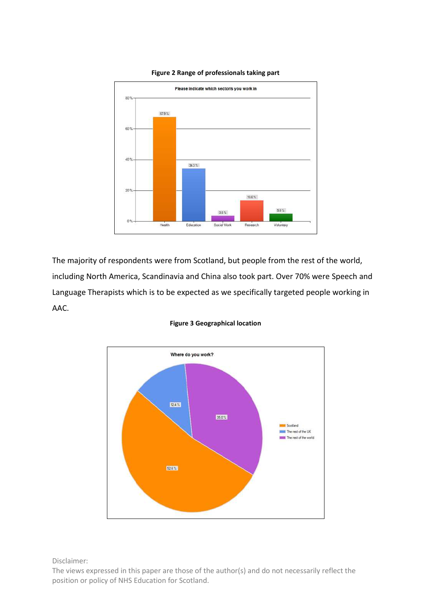

#### **Figure 2 Range of professionals taking part**

The majority of respondents were from Scotland, but people from the rest of the world, including North America, Scandinavia and China also took part. Over 70% were Speech and Language Therapists which is to be expected as we specifically targeted people working in AAC.



#### **Figure 3 Geographical location**

Disclaimer: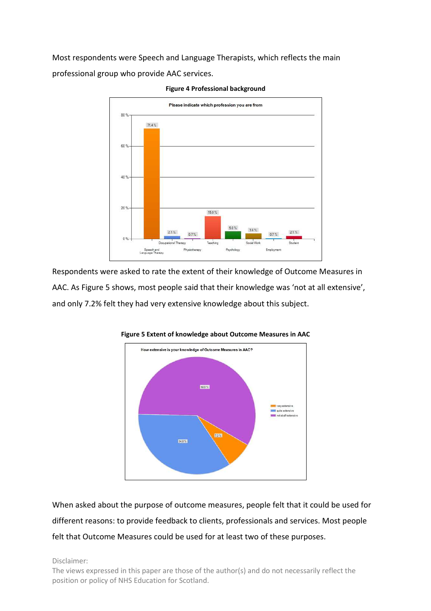Most respondents were Speech and Language Therapists, which reflects the main professional group who provide AAC services.



**Figure 4 Professional background** 

Respondents were asked to rate the extent of their knowledge of Outcome Measures in AAC. As Figure 5 shows, most people said that their knowledge was 'not at all extensive', and only 7.2% felt they had very extensive knowledge about this subject.





When asked about the purpose of outcome measures, people felt that it could be used for different reasons: to provide feedback to clients, professionals and services. Most people felt that Outcome Measures could be used for at least two of these purposes.

Disclaimer: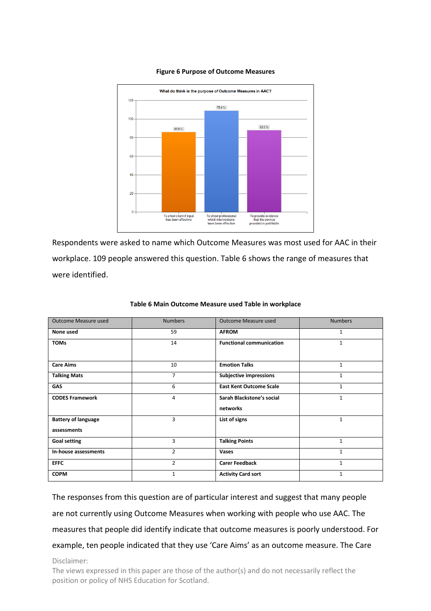

#### **Figure 6 Purpose of Outcome Measures**

Respondents were asked to name which Outcome Measures was most used for AAC in their workplace. 109 people answered this question. Table 6 shows the range of measures that were identified.

| Outcome Measure used                      | <b>Numbers</b> | Outcome Measure used                  | <b>Numbers</b> |
|-------------------------------------------|----------------|---------------------------------------|----------------|
| None used                                 | 59             | <b>AFROM</b>                          | $\mathbf{1}$   |
| <b>TOMs</b>                               | 14             | <b>Functional communication</b>       | 1              |
| <b>Care Aims</b>                          | 10             | <b>Emotion Talks</b>                  | $\mathbf{1}$   |
| <b>Talking Mats</b>                       | $\overline{7}$ | <b>Subjective impressions</b>         | $\mathbf{1}$   |
| GAS                                       | 6              | <b>East Kent Outcome Scale</b>        | 1              |
| <b>CODES Framework</b>                    | 4              | Sarah Blackstone's social<br>networks | $\mathbf{1}$   |
| <b>Battery of language</b><br>assessments | 3              | List of signs                         | $\mathbf{1}$   |
| <b>Goal setting</b>                       | 3              | <b>Talking Points</b>                 | $\mathbf{1}$   |
| In-house assessments                      | 2              | <b>Vases</b>                          | $\mathbf{1}$   |
| <b>EFFC</b>                               | $\overline{2}$ | <b>Carer Feedback</b>                 | $\mathbf{1}$   |
| <b>COPM</b>                               | 1              | <b>Activity Card sort</b>             | 1              |

#### **Table 6 Main Outcome Measure used Table in workplace**

The responses from this question are of particular interest and suggest that many people are not currently using Outcome Measures when working with people who use AAC. The measures that people did identify indicate that outcome measures is poorly understood. For example, ten people indicated that they use 'Care Aims' as an outcome measure. The Care

Disclaimer: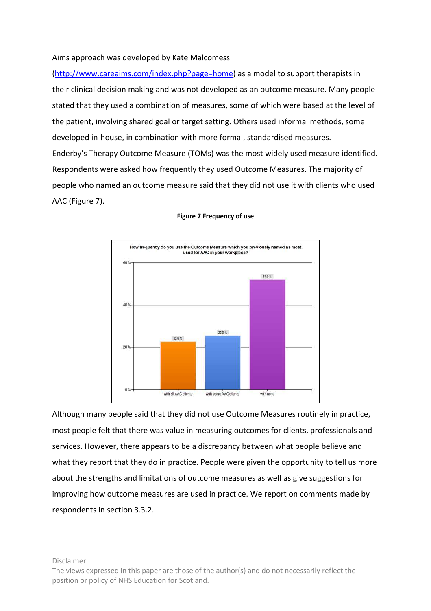### Aims approach was developed by Kate Malcomess

(http://www.careaims.com/index.php?page=home) as a model to support therapists in their clinical decision making and was not developed as an outcome measure. Many people stated that they used a combination of measures, some of which were based at the level of the patient, involving shared goal or target setting. Others used informal methods, some developed in-house, in combination with more formal, standardised measures. Enderby's Therapy Outcome Measure (TOMs) was the most widely used measure identified. Respondents were asked how frequently they used Outcome Measures. The majority of people who named an outcome measure said that they did not use it with clients who used AAC (Figure 7).



#### **Figure 7 Frequency of use**

Although many people said that they did not use Outcome Measures routinely in practice, most people felt that there was value in measuring outcomes for clients, professionals and services. However, there appears to be a discrepancy between what people believe and what they report that they do in practice. People were given the opportunity to tell us more about the strengths and limitations of outcome measures as well as give suggestions for improving how outcome measures are used in practice. We report on comments made by respondents in section 3.3.2.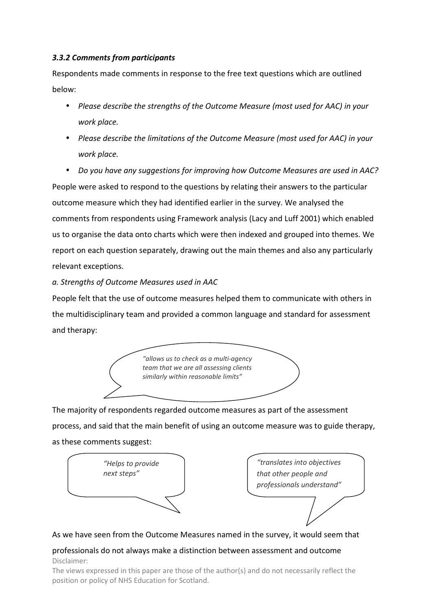### *3.3.2 Comments from participants*

Respondents made comments in response to the free text questions which are outlined below:

- *Please describe the strengths of the Outcome Measure (most used for AAC) in your work place.*
- *Please describe the limitations of the Outcome Measure (most used for AAC) in your work place.*

• *Do you have any suggestions for improving how Outcome Measures are used in AAC?*  People were asked to respond to the questions by relating their answers to the particular outcome measure which they had identified earlier in the survey. We analysed the comments from respondents using Framework analysis (Lacy and Luff 2001) which enabled us to organise the data onto charts which were then indexed and grouped into themes. We report on each question separately, drawing out the main themes and also any particularly relevant exceptions.

*a. Strengths of Outcome Measures used in AAC* 

People felt that the use of outcome measures helped them to communicate with others in the multidisciplinary team and provided a common language and standard for assessment and therapy:



The majority of respondents regarded outcome measures as part of the assessment process, and said that the main benefit of using an outcome measure was to guide therapy, as these comments suggest:



### As we have seen from the Outcome Measures named in the survey, it would seem that

### Disclaimer: professionals do not always make a distinction between assessment and outcome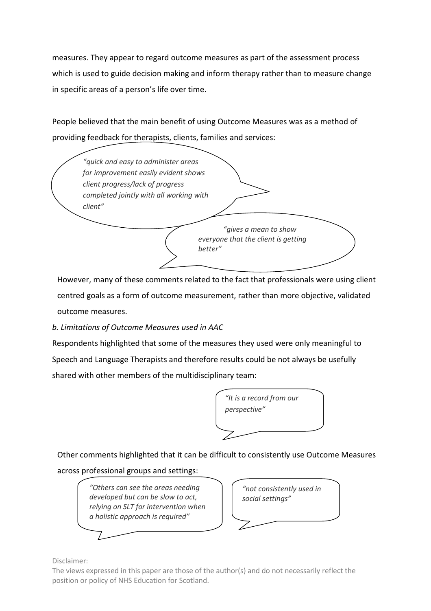measures. They appear to regard outcome measures as part of the assessment process which is used to guide decision making and inform therapy rather than to measure change in specific areas of a person's life over time.

People believed that the main benefit of using Outcome Measures was as a method of providing feedback for therapists, clients, families and services:

| for improvement easily evident shows                                    |
|-------------------------------------------------------------------------|
| completed jointly with all working with                                 |
| "gives a mean to show<br>everyone that the client is getting<br>better" |
|                                                                         |

However, many of these comments related to the fact that professionals were using client centred goals as a form of outcome measurement, rather than more objective, validated outcome measures.

*b. Limitations of Outcome Measures used in AAC* 

Respondents highlighted that some of the measures they used were only meaningful to Speech and Language Therapists and therefore results could be not always be usefully shared with other members of the multidisciplinary team:



Other comments highlighted that it can be difficult to consistently use Outcome Measures

across professional groups and settings:

*"Others can see the areas needing developed but can be slow to act, relying on SLT for intervention when a holistic approach is required"* 



Disclaimer: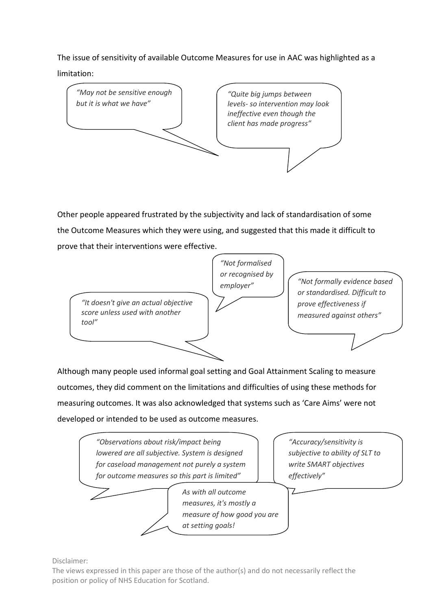The issue of sensitivity of available Outcome Measures for use in AAC was highlighted as a

limitation:



Other people appeared frustrated by the subjectivity and lack of standardisation of some the Outcome Measures which they were using, and suggested that this made it difficult to prove that their interventions were effective.



Although many people used informal goal setting and Goal Attainment Scaling to measure outcomes, they did comment on the limitations and difficulties of using these methods for measuring outcomes. It was also acknowledged that systems such as 'Care Aims' were not developed or intended to be used as outcome measures.



Disclaimer: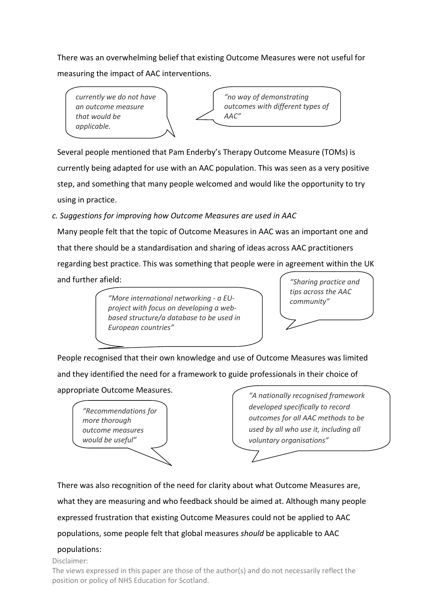There was an overwhelming belief that existing Outcome Measures were not useful for measuring the impact of AAC interventions.

*currently we do not have an outcome measure that would be applicable.* 

*"no way of demonstrating outcomes with different types of AAC"* 

Several people mentioned that Pam Enderby's Therapy Outcome Measure (TOMs) is currently being adapted for use with an AAC population. This was seen as a very positive step, and something that many people welcomed and would like the opportunity to try using in practice.

*c. Suggestions for improving how Outcome Measures are used in AAC* 

Many people felt that the topic of Outcome Measures in AAC was an important one and that there should be a standardisation and sharing of ideas across AAC practitioners regarding best practice. This was something that people were in agreement within the UK and further afield:

> *community" "More international networking - a EUproject with focus on developing a webbased structure/a database to be used in European countries"*

*"Sharing practice and tips across the AAC* 

People recognised that their own knowledge and use of Outcome Measures was limited and they identified the need for a framework to guide professionals in their choice of

appropriate Outcome Measures.

*"Recommendations for more thorough outcome measures would be useful"*

*"A nationally recognised framework developed specifically to record outcomes for all AAC methods to be used by all who use it, including all voluntary organisations"*

There was also recognition of the need for clarity about what Outcome Measures are, what they are measuring and who feedback should be aimed at. Although many people expressed frustration that existing Outcome Measures could not be applied to AAC populations, some people felt that global measures *should* be applicable to AAC

# populations:

Disclaimer: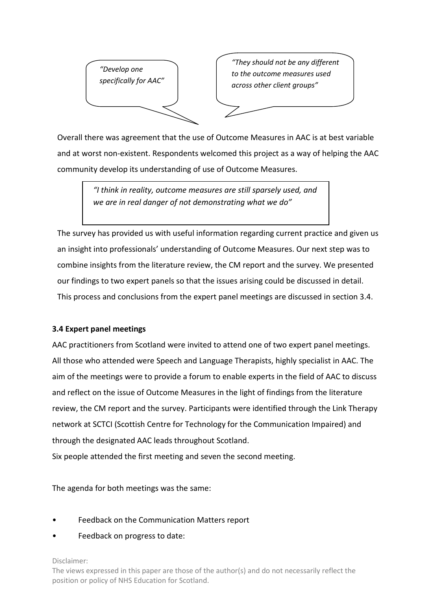

*"They should not be any different to the outcome measures used across other client groups"* 

Overall there was agreement that the use of Outcome Measures in AAC is at best variable and at worst non-existent. Respondents welcomed this project as a way of helping the AAC community develop its understanding of use of Outcome Measures.

> *"I think in reality, outcome measures are still sparsely used, and we are in real danger of not demonstrating what we do"*

The survey has provided us with useful information regarding current practice and given us an insight into professionals' understanding of Outcome Measures. Our next step was to combine insights from the literature review, the CM report and the survey. We presented our findings to two expert panels so that the issues arising could be discussed in detail. This process and conclusions from the expert panel meetings are discussed in section 3.4.

### **3.4 Expert panel meetings**

AAC practitioners from Scotland were invited to attend one of two expert panel meetings. All those who attended were Speech and Language Therapists, highly specialist in AAC. The aim of the meetings were to provide a forum to enable experts in the field of AAC to discuss and reflect on the issue of Outcome Measures in the light of findings from the literature review, the CM report and the survey. Participants were identified through the Link Therapy network at SCTCI (Scottish Centre for Technology for the Communication Impaired) and through the designated AAC leads throughout Scotland.

Six people attended the first meeting and seven the second meeting.

The agenda for both meetings was the same:

- Feedback on the Communication Matters report
- Feedback on progress to date:

Disclaimer: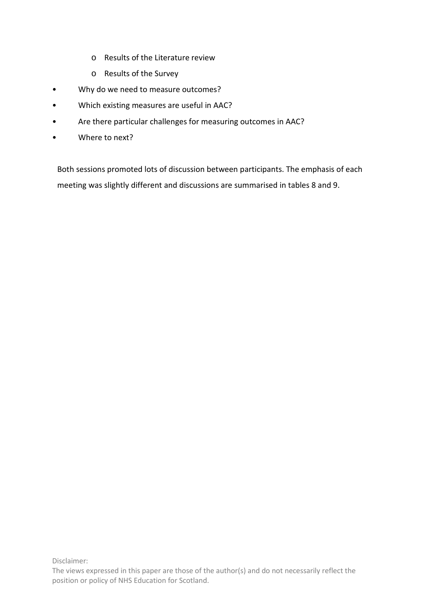- o Results of the Literature review
- o Results of the Survey
- Why do we need to measure outcomes?
- Which existing measures are useful in AAC?
- Are there particular challenges for measuring outcomes in AAC?
- Where to next?

Both sessions promoted lots of discussion between participants. The emphasis of each meeting was slightly different and discussions are summarised in tables 8 and 9.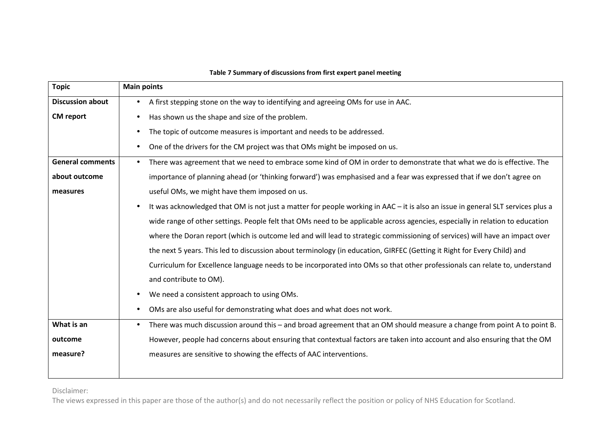| <b>Topic</b>            | <b>Main points</b>                                                                                                                   |
|-------------------------|--------------------------------------------------------------------------------------------------------------------------------------|
| <b>Discussion about</b> | A first stepping stone on the way to identifying and agreeing OMs for use in AAC.<br>$\bullet$                                       |
| <b>CM</b> report        | Has shown us the shape and size of the problem.<br>$\bullet$                                                                         |
|                         | The topic of outcome measures is important and needs to be addressed.<br>$\bullet$                                                   |
|                         | One of the drivers for the CM project was that OMs might be imposed on us.<br>$\bullet$                                              |
| <b>General comments</b> | There was agreement that we need to embrace some kind of OM in order to demonstrate that what we do is effective. The<br>$\bullet$   |
| about outcome           | importance of planning ahead (or 'thinking forward') was emphasised and a fear was expressed that if we don't agree on               |
| measures                | useful OMs, we might have them imposed on us.                                                                                        |
|                         | It was acknowledged that OM is not just a matter for people working in AAC - it is also an issue in general SLT services plus a      |
|                         | wide range of other settings. People felt that OMs need to be applicable across agencies, especially in relation to education        |
|                         | where the Doran report (which is outcome led and will lead to strategic commissioning of services) will have an impact over          |
|                         | the next 5 years. This led to discussion about terminology (in education, GIRFEC (Getting it Right for Every Child) and              |
|                         | Curriculum for Excellence language needs to be incorporated into OMs so that other professionals can relate to, understand           |
|                         | and contribute to OM).                                                                                                               |
|                         | We need a consistent approach to using OMs.<br>$\bullet$                                                                             |
|                         | OMs are also useful for demonstrating what does and what does not work.<br>$\bullet$                                                 |
| What is an              | There was much discussion around this - and broad agreement that an OM should measure a change from point A to point B.<br>$\bullet$ |
| outcome                 | However, people had concerns about ensuring that contextual factors are taken into account and also ensuring that the OM             |
| measure?                | measures are sensitive to showing the effects of AAC interventions.                                                                  |
|                         |                                                                                                                                      |

#### **Table 7 Summary of discussions from first expert panel meeting**

Disclaimer: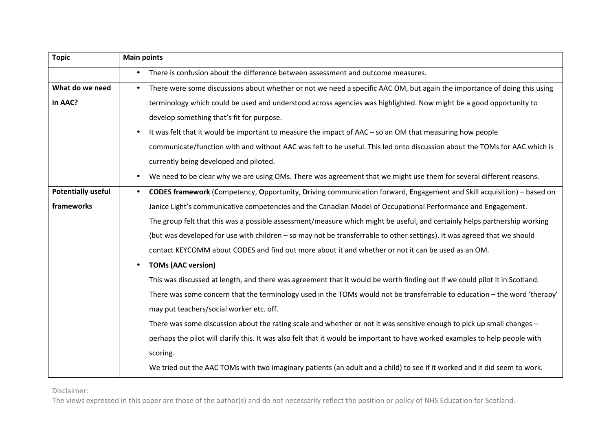| <b>Topic</b>              | <b>Main points</b>                                                                                                                    |
|---------------------------|---------------------------------------------------------------------------------------------------------------------------------------|
|                           | • There is confusion about the difference between assessment and outcome measures.                                                    |
| What do we need           | There were some discussions about whether or not we need a specific AAC OM, but again the importance of doing this using<br>$\bullet$ |
| in AAC?                   | terminology which could be used and understood across agencies was highlighted. Now might be a good opportunity to                    |
|                           | develop something that's fit for purpose.                                                                                             |
|                           | It was felt that it would be important to measure the impact of AAC - so an OM that measuring how people                              |
|                           | communicate/function with and without AAC was felt to be useful. This led onto discussion about the TOMs for AAC which is             |
|                           | currently being developed and piloted.                                                                                                |
|                           | We need to be clear why we are using OMs. There was agreement that we might use them for several different reasons.<br>$\bullet$      |
| <b>Potentially useful</b> | CODES framework (Competency, Opportunity, Driving communication forward, Engagement and Skill acquisition) – based on<br>$\bullet$    |
| frameworks                | Janice Light's communicative competencies and the Canadian Model of Occupational Performance and Engagement.                          |
|                           | The group felt that this was a possible assessment/measure which might be useful, and certainly helps partnership working             |
|                           | (but was developed for use with children - so may not be transferrable to other settings). It was agreed that we should               |
|                           | contact KEYCOMM about CODES and find out more about it and whether or not it can be used as an OM.                                    |
|                           | <b>TOMs (AAC version)</b>                                                                                                             |
|                           | This was discussed at length, and there was agreement that it would be worth finding out if we could pilot it in Scotland.            |
|                           | There was some concern that the terminology used in the TOMs would not be transferrable to education – the word 'therapy'             |
|                           | may put teachers/social worker etc. off.                                                                                              |
|                           | There was some discussion about the rating scale and whether or not it was sensitive enough to pick up small changes -                |
|                           | perhaps the pilot will clarify this. It was also felt that it would be important to have worked examples to help people with          |
|                           | scoring.                                                                                                                              |
|                           | We tried out the AAC TOMs with two imaginary patients (an adult and a child) to see if it worked and it did seem to work.             |

Disclaimer: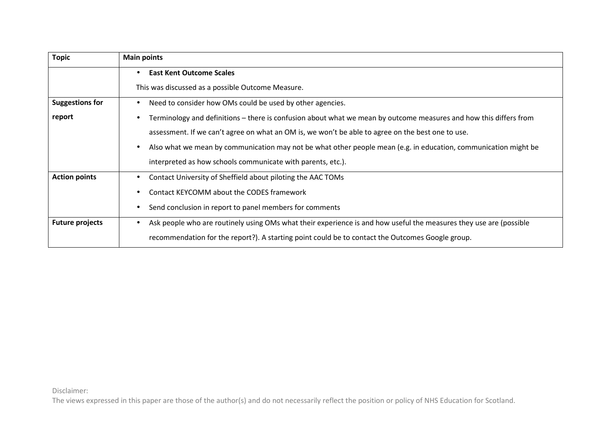| <b>Topic</b>           | <b>Main points</b>                                                                                                 |
|------------------------|--------------------------------------------------------------------------------------------------------------------|
|                        | <b>East Kent Outcome Scales</b>                                                                                    |
|                        | This was discussed as a possible Outcome Measure.                                                                  |
| <b>Suggestions for</b> | Need to consider how OMs could be used by other agencies.                                                          |
| report                 | Terminology and definitions – there is confusion about what we mean by outcome measures and how this differs from  |
|                        | assessment. If we can't agree on what an OM is, we won't be able to agree on the best one to use.                  |
|                        | Also what we mean by communication may not be what other people mean (e.g. in education, communication might be    |
|                        | interpreted as how schools communicate with parents, etc.).                                                        |
| <b>Action points</b>   | Contact University of Sheffield about piloting the AAC TOMs                                                        |
|                        | Contact KEYCOMM about the CODES framework                                                                          |
|                        | Send conclusion in report to panel members for comments                                                            |
| <b>Future projects</b> | Ask people who are routinely using OMs what their experience is and how useful the measures they use are (possible |
|                        | recommendation for the report?). A starting point could be to contact the Outcomes Google group.                   |

Disclaimer: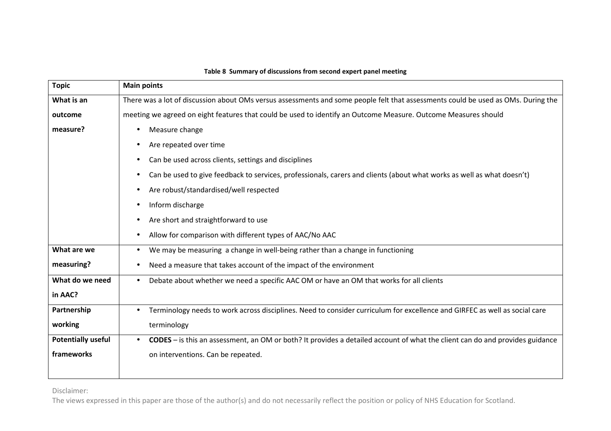| <b>Topic</b>              | <b>Main points</b>                                                                                                                      |
|---------------------------|-----------------------------------------------------------------------------------------------------------------------------------------|
| What is an                | There was a lot of discussion about OMs versus assessments and some people felt that assessments could be used as OMs. During the       |
| outcome                   | meeting we agreed on eight features that could be used to identify an Outcome Measure. Outcome Measures should                          |
| measure?                  | Measure change<br>$\bullet$                                                                                                             |
|                           | Are repeated over time<br>$\bullet$                                                                                                     |
|                           | Can be used across clients, settings and disciplines<br>$\bullet$                                                                       |
|                           | Can be used to give feedback to services, professionals, carers and clients (about what works as well as what doesn't)<br>$\bullet$     |
|                           | Are robust/standardised/well respected                                                                                                  |
|                           | Inform discharge<br>$\bullet$                                                                                                           |
|                           | Are short and straightforward to use<br>$\bullet$                                                                                       |
|                           | Allow for comparison with different types of AAC/No AAC                                                                                 |
| What are we               | We may be measuring a change in well-being rather than a change in functioning<br>$\bullet$                                             |
| measuring?                | Need a measure that takes account of the impact of the environment                                                                      |
| What do we need           | Debate about whether we need a specific AAC OM or have an OM that works for all clients<br>$\bullet$                                    |
| in AAC?                   |                                                                                                                                         |
| Partnership               | Terminology needs to work across disciplines. Need to consider curriculum for excellence and GIRFEC as well as social care<br>$\bullet$ |
| working                   | terminology                                                                                                                             |
| <b>Potentially useful</b> | <b>CODES</b> - is this an assessment, an OM or both? It provides a detailed account of what the client can do and provides guidance     |
| frameworks                | on interventions. Can be repeated.                                                                                                      |
|                           |                                                                                                                                         |

#### **Table 8 Summary of discussions from second expert panel meeting**

Disclaimer: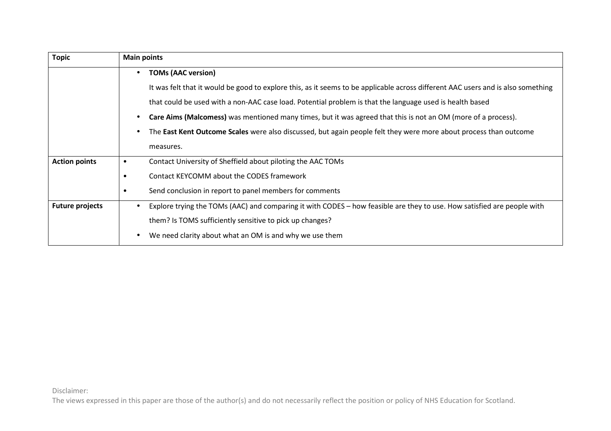| <b>Topic</b>           | <b>Main points</b>                                                                                                                   |
|------------------------|--------------------------------------------------------------------------------------------------------------------------------------|
|                        | <b>TOMs (AAC version)</b><br>$\bullet$                                                                                               |
|                        | It was felt that it would be good to explore this, as it seems to be applicable across different AAC users and is also something     |
|                        | that could be used with a non-AAC case load. Potential problem is that the language used is health based                             |
|                        | Care Aims (Malcomess) was mentioned many times, but it was agreed that this is not an OM (more of a process).                        |
|                        | The East Kent Outcome Scales were also discussed, but again people felt they were more about process than outcome                    |
|                        | measures.                                                                                                                            |
| <b>Action points</b>   | Contact University of Sheffield about piloting the AAC TOMs<br>$\bullet$                                                             |
|                        | Contact KEYCOMM about the CODES framework<br>$\bullet$                                                                               |
|                        | Send conclusion in report to panel members for comments<br>$\bullet$                                                                 |
| <b>Future projects</b> | Explore trying the TOMs (AAC) and comparing it with CODES – how feasible are they to use. How satisfied are people with<br>$\bullet$ |
|                        | them? Is TOMS sufficiently sensitive to pick up changes?                                                                             |
|                        | We need clarity about what an OM is and why we use them                                                                              |

Disclaimer: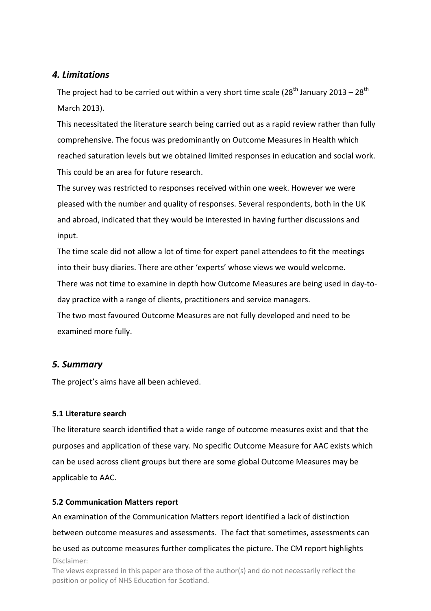# *4. Limitations*

The project had to be carried out within a very short time scale (28<sup>th</sup> January 2013 – 28<sup>th</sup> March 2013).

This necessitated the literature search being carried out as a rapid review rather than fully comprehensive. The focus was predominantly on Outcome Measures in Health which reached saturation levels but we obtained limited responses in education and social work. This could be an area for future research.

The survey was restricted to responses received within one week. However we were pleased with the number and quality of responses. Several respondents, both in the UK and abroad, indicated that they would be interested in having further discussions and input.

The time scale did not allow a lot of time for expert panel attendees to fit the meetings into their busy diaries. There are other 'experts' whose views we would welcome. There was not time to examine in depth how Outcome Measures are being used in day-today practice with a range of clients, practitioners and service managers.

The two most favoured Outcome Measures are not fully developed and need to be examined more fully.

# *5. Summary*

The project's aims have all been achieved.

# **5.1 Literature search**

The literature search identified that a wide range of outcome measures exist and that the purposes and application of these vary. No specific Outcome Measure for AAC exists which can be used across client groups but there are some global Outcome Measures may be applicable to AAC.

### **5.2 Communication Matters report**

position or policy of NHS Education for Scotland.

Disclaimer: The views expressed in this paper are those of the author(s) and do not necessarily reflect the An examination of the Communication Matters report identified a lack of distinction between outcome measures and assessments. The fact that sometimes, assessments can be used as outcome measures further complicates the picture. The CM report highlights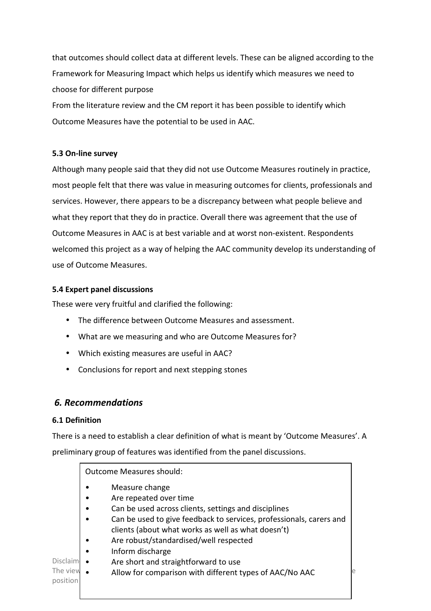that outcomes should collect data at different levels. These can be aligned according to the Framework for Measuring Impact which helps us identify which measures we need to choose for different purpose

From the literature review and the CM report it has been possible to identify which Outcome Measures have the potential to be used in AAC.

## **5.3 On-line survey**

Although many people said that they did not use Outcome Measures routinely in practice, most people felt that there was value in measuring outcomes for clients, professionals and services. However, there appears to be a discrepancy between what people believe and what they report that they do in practice. Overall there was agreement that the use of Outcome Measures in AAC is at best variable and at worst non-existent. Respondents welcomed this project as a way of helping the AAC community develop its understanding of use of Outcome Measures.

### **5.4 Expert panel discussions**

These were very fruitful and clarified the following:

- The difference between Outcome Measures and assessment.
- What are we measuring and who are Outcome Measures for?
- Which existing measures are useful in AAC?
- Conclusions for report and next stepping stones

# *6. Recommendations*

### **6.1 Definition**

There is a need to establish a clear definition of what is meant by 'Outcome Measures'. A preliminary group of features was identified from the panel discussions.

Disclaim The view  $\bullet$  allow for comparison with different types of AAC/No AAC  $\bullet$ position Outcome Measures should: • Measure change • Are repeated over time • Can be used across clients, settings and disciplines • Can be used to give feedback to services, professionals, carers and clients (about what works as well as what doesn't) • Are robust/standardised/well respected • Inform discharge • Are short and straightforward to use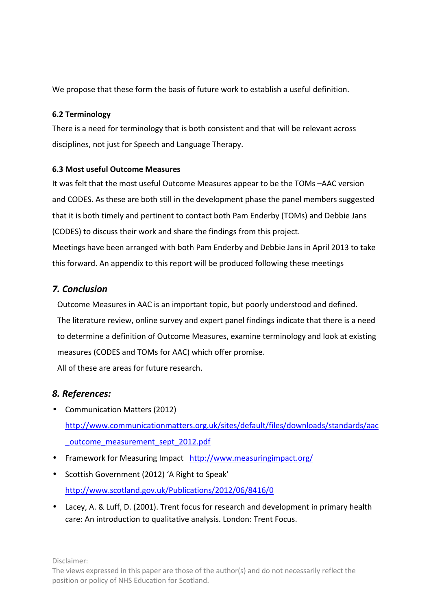We propose that these form the basis of future work to establish a useful definition.

## **6.2 Terminology**

There is a need for terminology that is both consistent and that will be relevant across disciplines, not just for Speech and Language Therapy.

## **6.3 Most useful Outcome Measures**

It was felt that the most useful Outcome Measures appear to be the TOMs –AAC version and CODES. As these are both still in the development phase the panel members suggested that it is both timely and pertinent to contact both Pam Enderby (TOMs) and Debbie Jans (CODES) to discuss their work and share the findings from this project. Meetings have been arranged with both Pam Enderby and Debbie Jans in April 2013 to take this forward. An appendix to this report will be produced following these meetings

# *7. Conclusion*

Outcome Measures in AAC is an important topic, but poorly understood and defined. The literature review, online survey and expert panel findings indicate that there is a need to determine a definition of Outcome Measures, examine terminology and look at existing measures (CODES and TOMs for AAC) which offer promise.

All of these are areas for future research.

# *8. References:*

- Communication Matters (2012) http://www.communicationmatters.org.uk/sites/default/files/downloads/standards/aac \_outcome\_measurement\_sept\_2012.pdf
- Framework for Measuring Impact http://www.measuringimpact.org/
- Scottish Government (2012) 'A Right to Speak' http://www.scotland.gov.uk/Publications/2012/06/8416/0
- Lacey, A. & Luff, D. (2001). Trent focus for research and development in primary health care: An introduction to qualitative analysis. London: Trent Focus.